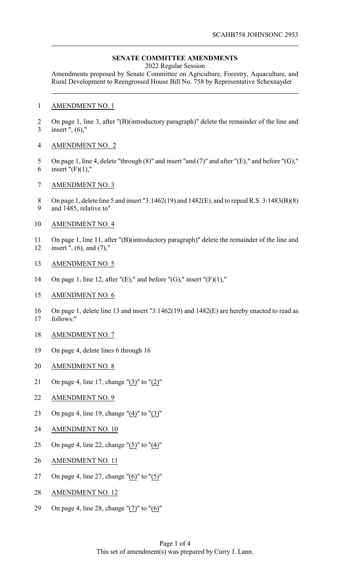## **SENATE COMMITTEE AMENDMENTS**

2022 Regular Session

Amendments proposed by Senate Committee on Agriculture, Forestry, Aquaculture, and Rural Development to Reengrossed House Bill No. 758 by Representative Schexnayder

## AMENDMENT NO. 1

2 On page 1, line 3, after "(B)(introductory paragraph)" delete the remainder of the line and insert ", (6),"

## AMENDMENT NO. 2

- On page 1, line 4, delete "through (8)" and insert "and (7)" and after "(E)," and before "(G)," 6 insert " $(F)(1)$ ,"
- AMENDMENT NO. 3
- On page 1, delete line 5 and insert "3:1462(19) and 1482(E), and to repeal R.S. 3:1483(B)(8) and 1485, relative to"
- AMENDMENT NO. 4
- On page 1, line 11, after "(B)(introductory paragraph)" delete the remainder of the line and insert ", (6), and (7),"
- AMENDMENT NO. 5
- 14 On page 1, line 12, after " $(E)$ ," and before " $(G)$ ," insert " $(F)(1)$ ,"
- AMENDMENT NO. 6
- On page 1, delete line 13 and insert "3:1462(19) and 1482(E) are hereby enacted to read as follows:"
- AMENDMENT NO. 7
- On page 4, delete lines 6 through 16
- AMENDMENT NO. 8
- On page 4, line 17, change "(3)" to "(2)"
- AMENDMENT NO. 9
- On page 4, line 19, change "(4)" to "(3)"
- AMENDMENT NO. 10
- On page 4, line 22, change "(5)" to "(4)"
- AMENDMENT NO. 11
- 27 On page 4, line 27, change " $(6)$ " to " $(5)$ "
- AMENDMENT NO. 12
- On page 4, line 28, change "(7)" to "(6)"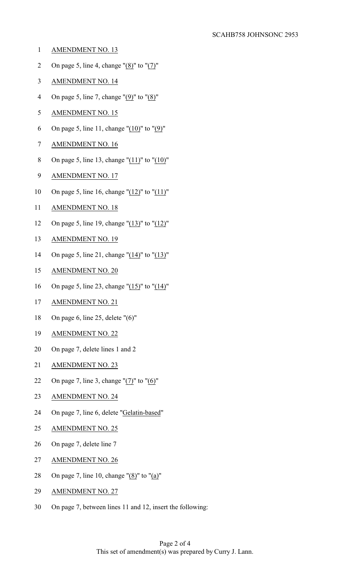- AMENDMENT NO. 13
- 2 On page 5, line 4, change " $(8)$ " to " $(7)$ "
- AMENDMENT NO. 14
- 4 On page 5, line 7, change " $(9)$ " to " $(8)$ "
- AMENDMENT NO. 15
- 6 On page 5, line 11, change " $(10)$ " to " $(9)$ "
- AMENDMENT NO. 16
- On page 5, line 13, change "(11)" to "(10)"
- AMENDMENT NO. 17
- On page 5, line 16, change "(12)" to "(11)"
- AMENDMENT NO. 18
- On page 5, line 19, change "(13)" to "(12)"
- AMENDMENT NO. 19
- 14 On page 5, line 21, change " $(14)$ " to " $(13)$ "
- AMENDMENT NO. 20
- On page 5, line 23, change "(15)" to "(14)"
- AMENDMENT NO. 21
- On page 6, line 25, delete "(6)"
- AMENDMENT NO. 22
- On page 7, delete lines 1 and 2
- AMENDMENT NO. 23
- 22 On page 7, line 3, change " $(7)$ " to " $(6)$ "
- AMENDMENT NO. 24
- On page 7, line 6, delete "Gelatin-based"
- AMENDMENT NO. 25
- On page 7, delete line 7
- AMENDMENT NO. 26
- On page 7, line 10, change "(8)" to "(a)"
- AMENDMENT NO. 27
- On page 7, between lines 11 and 12, insert the following: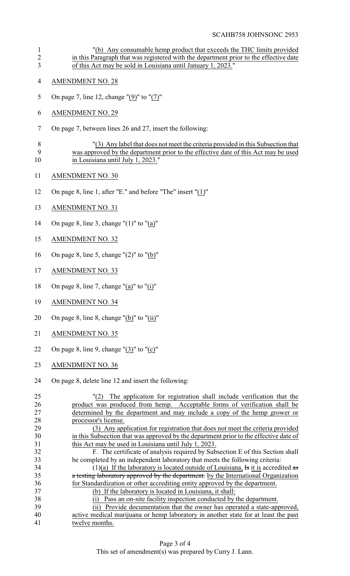"(b) Any consumable hemp product that exceeds the THC limits provided 2 in this Paragraph that was registered with the department prior to the effective date of this Act may be sold in Louisiana until January 1, 2023." AMENDMENT NO. 28 On page 7, line 12, change "(9)" to "(7)" AMENDMENT NO. 29 On page 7, between lines 26 and 27, insert the following: "(3) Any label that does not meet the criteria provided in this Subsection that was approved by the department prior to the effective date of this Act may be used 10 in Louisiana until July 1, 2023." AMENDMENT NO. 30 On page 8, line 1, after "E." and before "The" insert "(1)" AMENDMENT NO. 31 On page 8, line 3, change "(1)" to "(a)" AMENDMENT NO. 32 On page 8, line 5, change "(2)" to "(b)" AMENDMENT NO. 33 18 On page 8, line 7, change "(a)" to "(i)" AMENDMENT NO. 34 20 On page 8, line 8, change " $(b)$ " to " $(ii)$ " AMENDMENT NO. 35 22 On page 8, line 9, change " $(3)$ " to " $(c)$ " AMENDMENT NO. 36 On page 8, delete line 12 and insert the following: "(2) The application for registration shall include verification that the product was produced from hemp. Acceptable forms of verification shall be determined by the department and may include a copy of the hemp grower or processor's license. (3) Any application for registration that does not meet the criteria provided in this Subsection that was approved by the department prior to the effective date of this Act may be used in Louisiana until July 1, 2023. F. The certificate of analysis required by Subsection E of this Section shall be completed by an independent laboratory that meets the following criteria: 34 (1)(a) If the laboratory is located outside of Louisiana, Is it is accredited as 35 a testing laboratory approved by the department. by the International Organization for Standardization or other accrediting entity approved by the department. (b) If the laboratory is located in Louisiana, it shall: (i) Pass an on-site facility inspection conducted by the department. 39 (ii) Provide documentation that the owner has operated a state-approved,<br>40 active medical marijuana or hemp laboratory in another state for at least the past active medical marijuana or hemp laboratory in another state for at least the past twelve months.